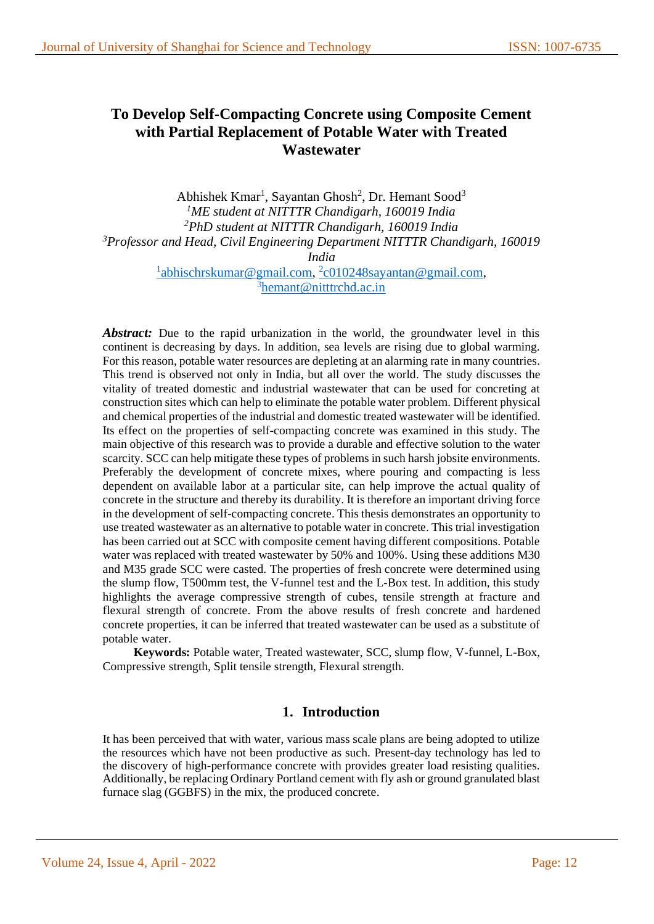# **To Develop Self-Compacting Concrete using Composite Cement with Partial Replacement of Potable Water with Treated Wastewater**

Abhishek Kmar<sup>1</sup>, Sayantan Ghosh<sup>2</sup>, Dr. Hemant Sood<sup>3</sup> *<sup>1</sup>ME student at NITTTR Chandigarh, 160019 India <sup>2</sup>PhD student at NITTTR Chandigarh, 160019 India <sup>3</sup>Professor and Head, Civil Engineering Department NITTTR Chandigarh, 160019 India* <sup>1</sup>[abhischrskumar@gmail.com,](mailto:1abhischrskumar@gmail.com) <sup>2</sup>[c010248sayantan@gmail.com,](mailto:2c010248sayantan@gmail.com) <sup>3</sup>[hemant@nitttrchd.ac.in](mailto:hemant@nitttrchd.ac.in)

*Abstract:* Due to the rapid urbanization in the world, the groundwater level in this continent is decreasing by days. In addition, sea levels are rising due to global warming. For this reason, potable water resources are depleting at an alarming rate in many countries. This trend is observed not only in India, but all over the world. The study discusses the vitality of treated domestic and industrial wastewater that can be used for concreting at construction sites which can help to eliminate the potable water problem. Different physical and chemical properties of the industrial and domestic treated wastewater will be identified. Its effect on the properties of self-compacting concrete was examined in this study. The main objective of this research was to provide a durable and effective solution to the water scarcity. SCC can help mitigate these types of problems in such harsh jobsite environments. Preferably the development of concrete mixes, where pouring and compacting is less dependent on available labor at a particular site, can help improve the actual quality of concrete in the structure and thereby its durability. It is therefore an important driving force in the development of self-compacting concrete. This thesis demonstrates an opportunity to use treated wastewater as an alternative to potable water in concrete. This trial investigation has been carried out at SCC with composite cement having different compositions. Potable water was replaced with treated wastewater by 50% and 100%. Using these additions M30 and M35 grade SCC were casted. The properties of fresh concrete were determined using the slump flow, T500mm test, the V-funnel test and the L-Box test. In addition, this study highlights the average compressive strength of cubes, tensile strength at fracture and flexural strength of concrete. From the above results of fresh concrete and hardened concrete properties, it can be inferred that treated wastewater can be used as a substitute of potable water.

**Keywords:** Potable water, Treated wastewater, SCC, slump flow, V-funnel, L-Box, Compressive strength, Split tensile strength, Flexural strength.

## **1. Introduction**

It has been perceived that with water, various mass scale plans are being adopted to utilize the resources which have not been productive as such. Present-day technology has led to the discovery of high-performance concrete with provides greater load resisting qualities. Additionally, be replacing Ordinary Portland cement with fly ash or ground granulated blast furnace slag (GGBFS) in the mix, the produced concrete.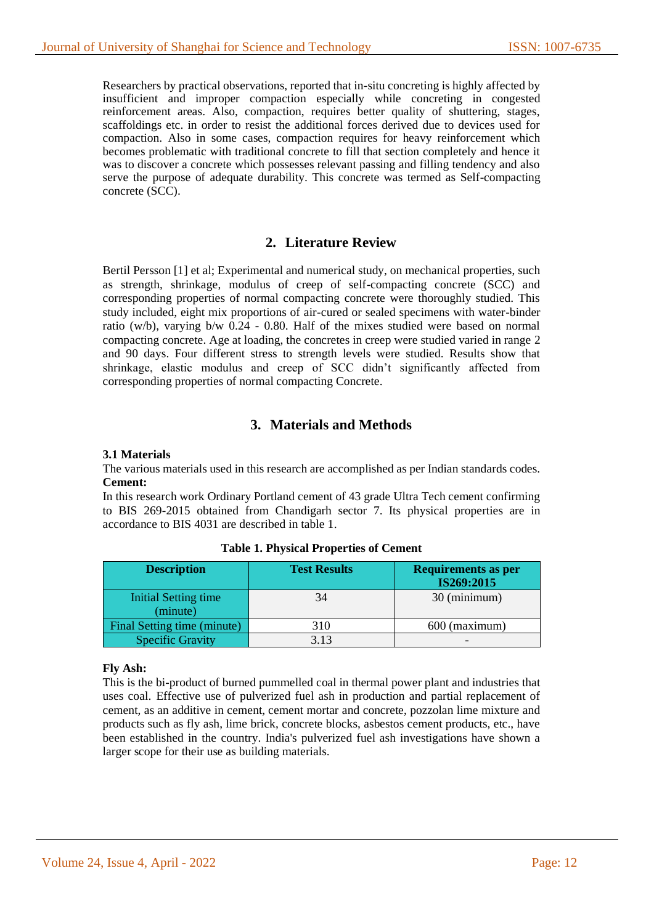Researchers by practical observations, reported that in-situ concreting is highly affected by insufficient and improper compaction especially while concreting in congested reinforcement areas. Also, compaction, requires better quality of shuttering, stages, scaffoldings etc. in order to resist the additional forces derived due to devices used for compaction. Also in some cases, compaction requires for heavy reinforcement which becomes problematic with traditional concrete to fill that section completely and hence it was to discover a concrete which possesses relevant passing and filling tendency and also serve the purpose of adequate durability. This concrete was termed as Self-compacting concrete (SCC).

## **2. Literature Review**

Bertil Persson [1] et al; Experimental and numerical study, on mechanical properties, such as strength, shrinkage, modulus of creep of self-compacting concrete (SCC) and corresponding properties of normal compacting concrete were thoroughly studied. This study included, eight mix proportions of air-cured or sealed specimens with water-binder ratio (w/b), varying b/w 0.24 - 0.80. Half of the mixes studied were based on normal compacting concrete. Age at loading, the concretes in creep were studied varied in range 2 and 90 days. Four different stress to strength levels were studied. Results show that shrinkage, elastic modulus and creep of SCC didn't significantly affected from corresponding properties of normal compacting Concrete.

## **3. Materials and Methods**

### **3.1 Materials**

The various materials used in this research are accomplished as per Indian standards codes. **Cement:**

In this research work Ordinary Portland cement of 43 grade Ultra Tech cement confirming to BIS 269-2015 obtained from Chandigarh sector 7. Its physical properties are in accordance to BIS 4031 are described in table 1.

| <b>Description</b>                      | <b>Test Results</b> | <b>Requirements as per</b><br>IS269:2015 |
|-----------------------------------------|---------------------|------------------------------------------|
| <b>Initial Setting time</b><br>(minute) | 34                  | 30 (minimum)                             |
| Final Setting time (minute)             | 310                 | $600$ (maximum)                          |
| <b>Specific Gravity</b>                 | 3.13                |                                          |

**Table 1. Physical Properties of Cement**

### **Fly Ash:**

This is the bi-product of burned pummelled coal in thermal power plant and industries that uses coal. Effective use of pulverized fuel ash in production and partial replacement of cement, as an additive in cement, cement mortar and concrete, pozzolan lime mixture and products such as fly ash, lime brick, concrete blocks, asbestos cement products, etc., have been established in the country. India's pulverized fuel ash investigations have shown a larger scope for their use as building materials.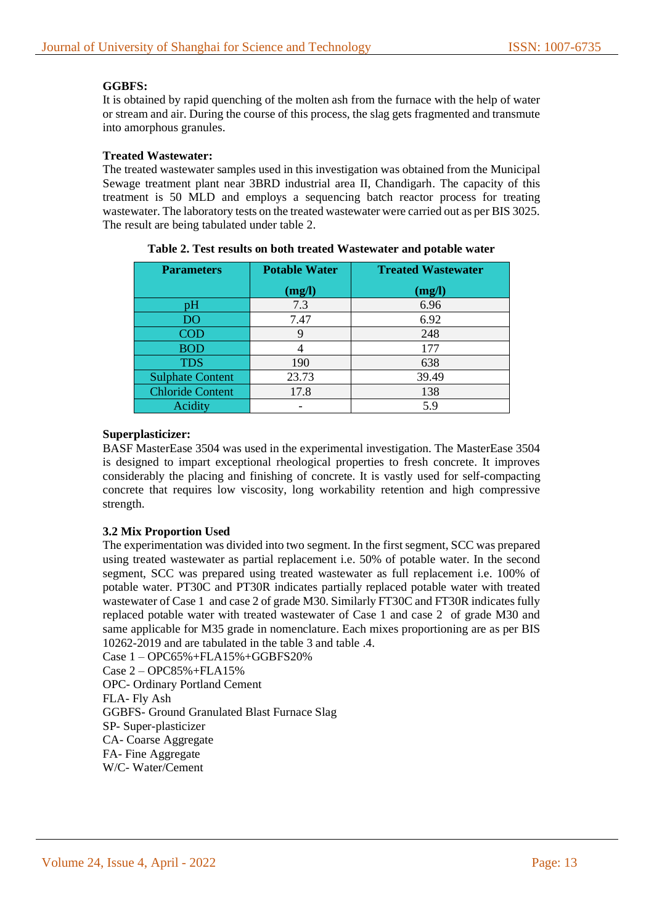### **GGBFS:**

It is obtained by rapid quenching of the molten ash from the furnace with the help of water or stream and air. During the course of this process, the slag gets fragmented and transmute into amorphous granules.

### **Treated Wastewater:**

The treated wastewater samples used in this investigation was obtained from the Municipal Sewage treatment plant near 3BRD industrial area II, Chandigarh. The capacity of this treatment is 50 MLD and employs a sequencing batch reactor process for treating wastewater. The laboratory tests on the treated wastewater were carried out as per BIS 3025. The result are being tabulated under table 2.

| <b>Parameters</b>       | <b>Potable Water</b> | <b>Treated Wastewater</b> |  |  |
|-------------------------|----------------------|---------------------------|--|--|
|                         | (mg/l)               | (mg/l)                    |  |  |
| pН                      | 7.3                  | 6.96                      |  |  |
| D <sub>O</sub>          | 7.47                 | 6.92                      |  |  |
| <b>COD</b>              |                      | 248                       |  |  |
| <b>BOD</b>              |                      | 177                       |  |  |
| <b>TDS</b>              | 190                  | 638                       |  |  |
| <b>Sulphate Content</b> | 23.73                | 39.49                     |  |  |
| <b>Chloride Content</b> | 17.8                 | 138                       |  |  |
| Acidity                 |                      | 5.9                       |  |  |

**Table 2. Test results on both treated Wastewater and potable water**

### **Superplasticizer:**

BASF MasterEase 3504 was used in the experimental investigation. The MasterEase 3504 is designed to impart exceptional rheological properties to fresh concrete. It improves considerably the placing and finishing of concrete. It is vastly used for self-compacting concrete that requires low viscosity, long workability retention and high compressive strength.

### **3.2 Mix Proportion Used**

The experimentation was divided into two segment. In the first segment, SCC was prepared using treated wastewater as partial replacement i.e. 50% of potable water. In the second segment, SCC was prepared using treated wastewater as full replacement i.e. 100% of potable water. PT30C and PT30R indicates partially replaced potable water with treated wastewater of Case 1 and case 2 of grade M30. Similarly FT30C and FT30R indicates fully replaced potable water with treated wastewater of Case 1 and case 2 of grade M30 and same applicable for M35 grade in nomenclature. Each mixes proportioning are as per BIS 10262-2019 and are tabulated in the table 3 and table .4.

Case 1 – OPC65%+FLA15%+GGBFS20% Case 2 – OPC85%+FLA15% OPC- Ordinary Portland Cement FLA- Fly Ash GGBFS- Ground Granulated Blast Furnace Slag SP- Super-plasticizer CA- Coarse Aggregate FA- Fine Aggregate W/C- Water/Cement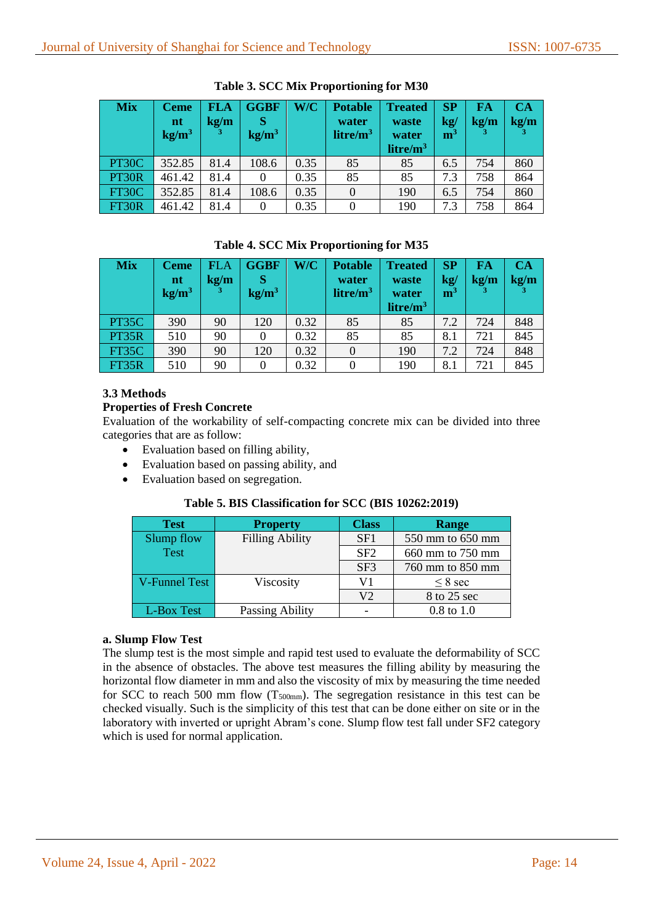| <b>Mix</b> | <b>Ceme</b><br>n t<br>kg/m <sup>3</sup> | <b>FLA</b><br>kg/m<br>3 | <b>GGBF</b><br>kg/m <sup>3</sup> | W/C  | <b>Potable</b><br>water<br>litre/ $m3$ | <b>Treated</b><br>waste<br>water<br>litre/m <sup>3</sup> | <b>SP</b><br>$\mathbf{kg}/$<br>m <sup>3</sup> | FA<br>kg/m | CA<br>kg/m |
|------------|-----------------------------------------|-------------------------|----------------------------------|------|----------------------------------------|----------------------------------------------------------|-----------------------------------------------|------------|------------|
| PT30C      | 352.85                                  | 81.4                    | 108.6                            | 0.35 | 85                                     | 85                                                       | 6.5                                           | 754        | 860        |
| PT30R      | 461.42                                  | 81.4                    |                                  | 0.35 | 85                                     | 85                                                       | 7.3                                           | 758        | 864        |
| FT30C      | 352.85                                  | 81.4                    | 108.6                            | 0.35 | $\theta$                               | 190                                                      | 6.5                                           | 754        | 860        |
| FT30R      | 461.42                                  | 81.4                    |                                  | 0.35 |                                        | 190                                                      | 7.3                                           | 758        | 864        |

**Table 3. SCC Mix Proportioning for M30** 

### **Table 4. SCC Mix Proportioning for M35**

| <b>Mix</b> | <b>Ceme</b><br>$\mathbf{nt}$<br>kg/m <sup>3</sup> | ${\bf F} {\rm LA}$<br>kg/m<br>з | <b>GGBF</b><br>kg/m <sup>3</sup> | W/C  | <b>Potable</b><br>water<br>litre/m <sup>3</sup> | <b>Treated</b><br>waste<br>water<br>litre/m <sup>3</sup> | <b>SP</b><br>$\mathbf{kg}/$<br>${\bf m}^3$ | FA<br>kg/m | <b>CA</b><br>kg/m |
|------------|---------------------------------------------------|---------------------------------|----------------------------------|------|-------------------------------------------------|----------------------------------------------------------|--------------------------------------------|------------|-------------------|
| PT35C      | 390                                               | 90                              | 120                              | 0.32 | 85                                              | 85                                                       | 7.2                                        | 724        | 848               |
| PT35R      | 510                                               | 90                              |                                  | 0.32 | 85                                              | 85                                                       | 8.1                                        | 721        | 845               |
| FT35C      | 390                                               | 90                              | 120                              | 0.32 | $\overline{0}$                                  | 190                                                      | 7.2                                        | 724        | 848               |
| FT35R      | 510                                               | 90                              |                                  | 0.32 |                                                 | 190                                                      | 8.1                                        | 721        | 845               |

### **3.3 Methods**

### **Properties of Fresh Concrete**

Evaluation of the workability of self-compacting concrete mix can be divided into three categories that are as follow:

- Evaluation based on filling ability,
- Evaluation based on passing ability, and
- Evaluation based on segregation.

### **Table 5. BIS Classification for SCC (BIS 10262:2019)**

| <b>Test</b>          | <b>Property</b>        | <b>Class</b>    | Range            |
|----------------------|------------------------|-----------------|------------------|
| Slump flow           | <b>Filling Ability</b> | SF1             | 550 mm to 650 mm |
| <b>Test</b>          |                        | SF2             | 660 mm to 750 mm |
|                      |                        | SF <sub>3</sub> | 760 mm to 850 mm |
| <b>V-Funnel Test</b> | Viscosity              | V1              | $\leq$ 8 sec     |
|                      |                        | V2              | 8 to 25 sec      |
| L-Box Test           | Passing Ability        |                 | $0.8$ to $1.0$   |

### **a. Slump Flow Test**

The slump test is the most simple and rapid test used to evaluate the deformability of SCC in the absence of obstacles. The above test measures the filling ability by measuring the horizontal flow diameter in mm and also the viscosity of mix by measuring the time needed for SCC to reach 500 mm flow  $(T_{500mm})$ . The segregation resistance in this test can be checked visually. Such is the simplicity of this test that can be done either on site or in the laboratory with inverted or upright Abram's cone. Slump flow test fall under SF2 category which is used for normal application.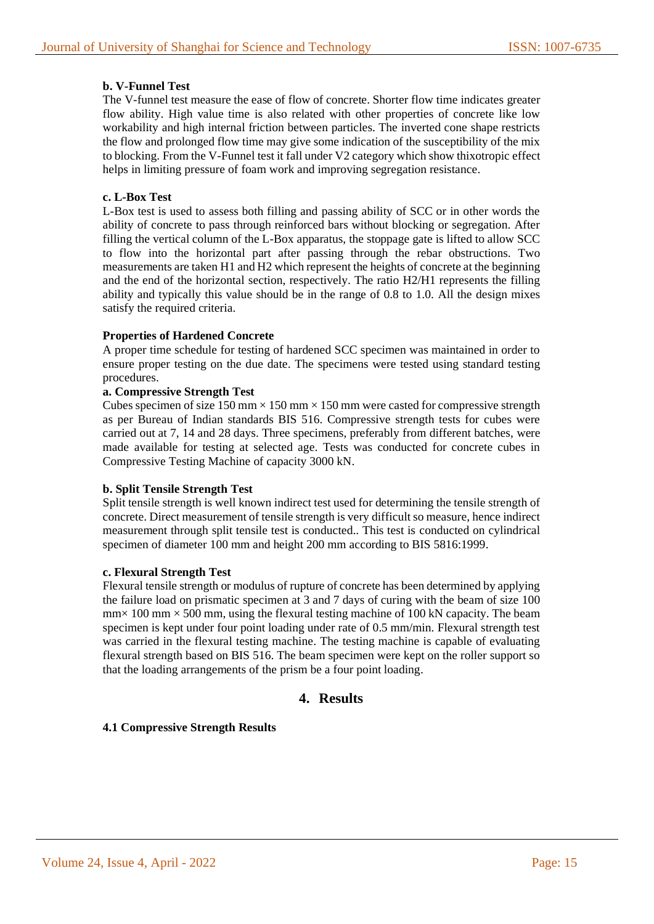### **b. V-Funnel Test**

The V-funnel test measure the ease of flow of concrete. Shorter flow time indicates greater flow ability. High value time is also related with other properties of concrete like low workability and high internal friction between particles. The inverted cone shape restricts the flow and prolonged flow time may give some indication of the susceptibility of the mix to blocking. From the V-Funnel test it fall under V2 category which show thixotropic effect helps in limiting pressure of foam work and improving segregation resistance.

### **c. L-Box Test**

L-Box test is used to assess both filling and passing ability of SCC or in other words the ability of concrete to pass through reinforced bars without blocking or segregation. After filling the vertical column of the L-Box apparatus, the stoppage gate is lifted to allow SCC to flow into the horizontal part after passing through the rebar obstructions. Two measurements are taken H1 and H2 which represent the heights of concrete at the beginning and the end of the horizontal section, respectively. The ratio H2/H1 represents the filling ability and typically this value should be in the range of 0.8 to 1.0. All the design mixes satisfy the required criteria.

### **Properties of Hardened Concrete**

A proper time schedule for testing of hardened SCC specimen was maintained in order to ensure proper testing on the due date. The specimens were tested using standard testing procedures.

### **a. Compressive Strength Test**

Cubes specimen of size 150 mm  $\times$  150 mm  $\times$  150 mm were casted for compressive strength as per Bureau of Indian standards BIS 516. Compressive strength tests for cubes were carried out at 7, 14 and 28 days. Three specimens, preferably from different batches, were made available for testing at selected age. Tests was conducted for concrete cubes in Compressive Testing Machine of capacity 3000 kN.

### **b. Split Tensile Strength Test**

Split tensile strength is well known indirect test used for determining the tensile strength of concrete. Direct measurement of tensile strength is very difficult so measure, hence indirect measurement through split tensile test is conducted.. This test is conducted on cylindrical specimen of diameter 100 mm and height 200 mm according to BIS 5816:1999.

### **c. Flexural Strength Test**

Flexural tensile strength or modulus of rupture of concrete has been determined by applying the failure load on prismatic specimen at 3 and 7 days of curing with the beam of size 100  $\text{mm} \times 100 \text{ mm} \times 500 \text{ mm}$ , using the flexural testing machine of 100 kN capacity. The beam specimen is kept under four point loading under rate of 0.5 mm/min. Flexural strength test was carried in the flexural testing machine. The testing machine is capable of evaluating flexural strength based on BIS 516. The beam specimen were kept on the roller support so that the loading arrangements of the prism be a four point loading.

## **4. Results**

### **4.1 Compressive Strength Results**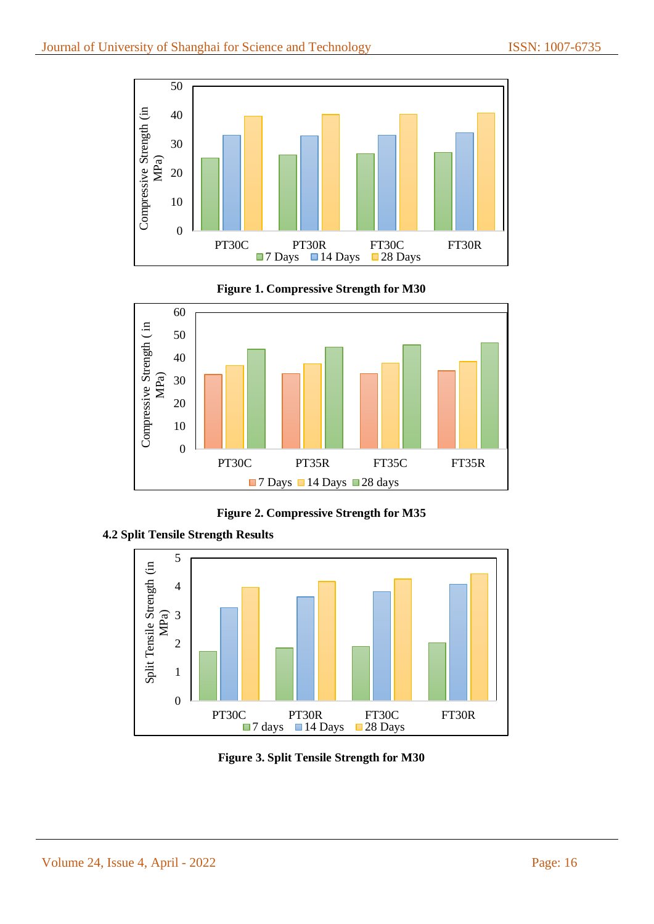





**Figure 2. Compressive Strength for M35**



**4.2 Split Tensile Strength Results**

**Figure 3. Split Tensile Strength for M30**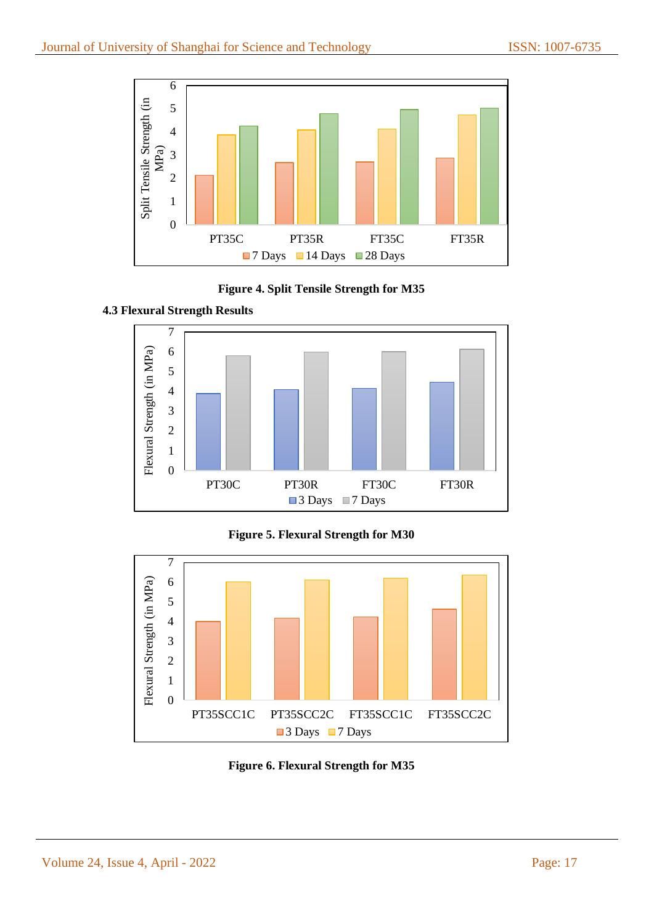

**Figure 4. Split Tensile Strength for M35**









**Figure 6. Flexural Strength for M35**